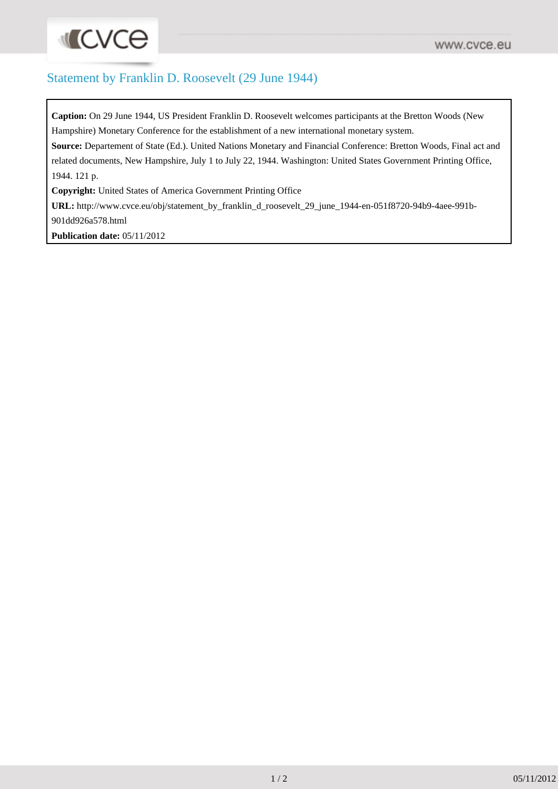## Statement by Franklin D. Roosevelt (29 June 1944)

**Caption:** On 29 June 1944, US President Franklin D. Roosevelt welcomes participants at the Bretton Woods (New Hampshire) Monetary Conference for the establishment of a new international monetary system.

**Source:** Departement of State (Ed.). United Nations Monetary and Financial Conference: Bretton Woods, Final act and related documents, New Hampshire, July 1 to July 22, 1944. Washington: United States Government Printing Office, 1944. 121 p.

**Copyright:** United States of America Government Printing Office

**URL:** [http://www.cvce.eu/obj/statement\\_by\\_franklin\\_d\\_roosevelt\\_29\\_june\\_1944-en-051f8720-94b9-4aee-991b-](http://www.cvce.eu/obj/statement_by_franklin_d_roosevelt_29_june_1944-en-051f8720-94b9-4aee-991b-901dd926a578.html)

[901dd926a578.html](http://www.cvce.eu/obj/statement_by_franklin_d_roosevelt_29_june_1944-en-051f8720-94b9-4aee-991b-901dd926a578.html)

**Publication date:** 05/11/2012

**ILCVCe**